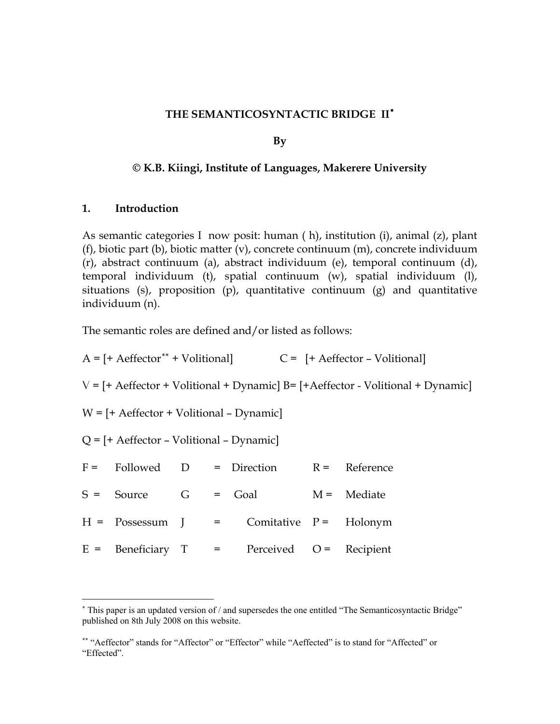#### **THE SEMANTICOSYNTACTIC BRIDGE II**[∗](#page-0-0)

**By** 

### **© K.B. Kiingi, Institute of Languages, Makerere University**

#### **1. Introduction**

 $\overline{a}$ 

As semantic categories I now posit: human ( h), institution (i), animal (z), plant (f), biotic part (b), biotic matter (v), concrete continuum (m), concrete individuum (r), abstract continuum (a), abstract individuum (e), temporal continuum (d), temporal individuum (t), spatial continuum (w), spatial individuum (l), situations (s), proposition (p), quantitative continuum (g) and quantitative individuum (n).

The semantic roles are defined and/or listed as follows:

 $A = [+ \text{Aeffector}^{**} + \text{Volitional}]$   $C = [+ \text{Aeffector} - \text{Volitional}]$  $V = [+Aeffector + Volitional + Dynamic] B= [+Aeffector - Volitional + Dynamic]$ W = [+ Aeffector + Volitional – Dynamic] Q = [+ Aeffector – Volitional – Dynamic]  $F =$  Followed D = Direction  $R =$  Reference  $S = Source G = Goal M = Mediate$  $H = Possessum$  J = Comitative P = Holonym  $E =$  Beneficiary T = Perceived  $O =$  Recipient

<span id="page-0-0"></span><sup>∗</sup> This paper is an updated version of / and supersedes the one entitled "The Semanticosyntactic Bridge" published on 8th July 2008 on this website.

<span id="page-0-1"></span><sup>∗∗</sup> "Aeffector" stands for "Affector" or "Effector" while "Aeffected" is to stand for "Affected" or "Effected".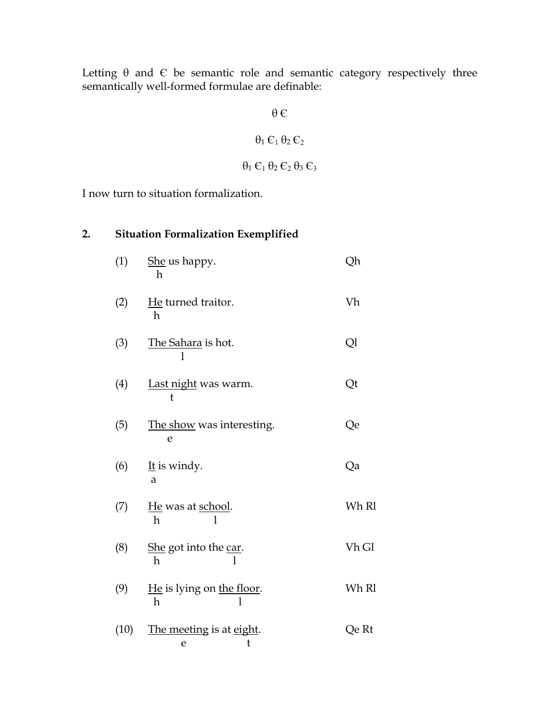Letting  $\theta$  and  $\theta$  be semantic role and semantic category respectively three semantically well-formed formulae are definable:

$$
\theta \in
$$

$$
\theta_1 \in_1 \theta_2 \in_2
$$

$$
\theta_1 \in_1 \theta_2 \in_2 \theta_3 \in_3
$$

I now turn to situation formalization.

# **2. Situation Formalization Exemplified**

| (1)              | She us happy.<br>h                  | Qh    |
|------------------|-------------------------------------|-------|
| (2)              | He turned traitor.<br>h             | Vh    |
| (3)              | <u>The Sahara</u> is hot.           | Ql    |
| $\left(4\right)$ | <u>Last night</u> was warm.<br>t    | Qt    |
| (5)              | The show was interesting.<br>e      | Qe    |
| (6)              | It is windy.<br>a                   | Qa    |
| (7)              | He was at school.<br>h              | Wh Rl |
| (8)              | She got into the car.<br>h<br>1     | Vh Gl |
| (9)              | He is lying on the floor.<br>h<br>l | Wh R1 |
| (10)             | The meeting is at eight.<br>t<br>e  | Qe Rt |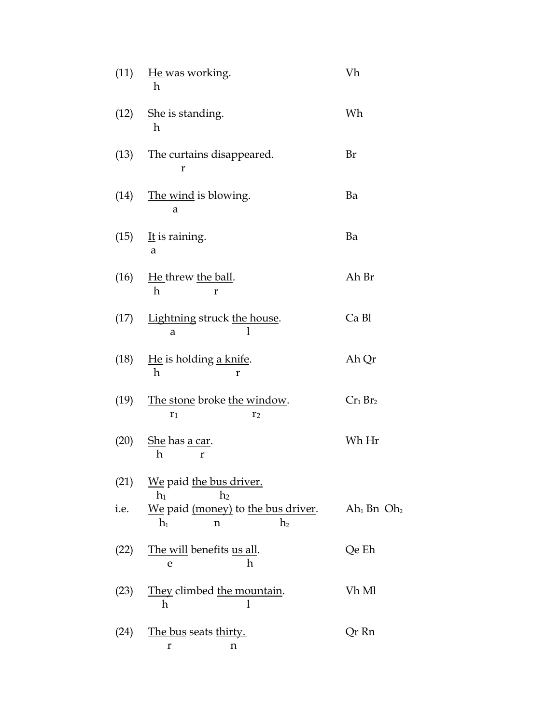| (11) | He was working.<br>h                                               | Vh             |
|------|--------------------------------------------------------------------|----------------|
| (12) | She is standing.<br>h                                              | Wh             |
| (13) | The curtains disappeared.<br>r                                     | Br             |
| (14) | The wind is blowing.<br>а                                          | Ba             |
| (15) | It is raining.<br>a                                                | Ba             |
| (16) | He threw the ball.<br>h<br>r                                       | Ah Br          |
| (17) | Lightning struck the house.<br>a                                   | Ca Bl          |
| (18) | He is holding a knife.<br>$\mathbf h$<br>r                         | Ah Qr          |
| (19) | The stone broke the window.<br>$r_1$<br>r <sub>2</sub>             | $Cr_1 Br_2$    |
| (20) | She has a car.<br>h<br>r                                           | Wh Hr          |
| (21) | We paid the bus driver.<br>$h_1$<br>h <sub>2</sub>                 |                |
| i.e. | We paid (money) to the bus driver.<br>$h_1$<br>h <sub>2</sub><br>n | $Ah1$ Bn $Oh2$ |
| (22) | The will benefits us all.<br>h<br>e                                | Qe Eh          |
| (23) | They climbed the mountain.<br>h<br>1                               | Vh Ml          |
| (24) | <u>The bus</u> seats thirty.<br>r<br>n                             | Qr Rn          |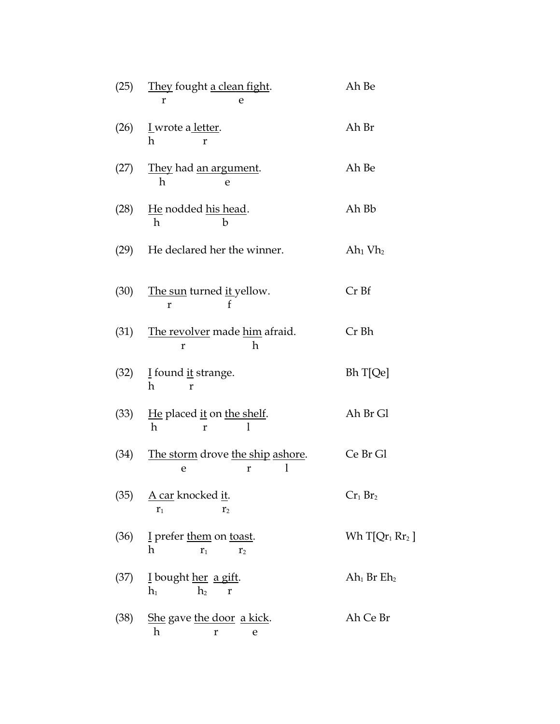| (25) | They fought a clean fight.<br>r<br>e                                 | Ah Be                              |
|------|----------------------------------------------------------------------|------------------------------------|
| (26) | I wrote a letter.<br>h<br>r                                          | Ah Br                              |
| (27) | They had an argument.<br>h<br>e                                      | Ah Be                              |
| (28) | He nodded his head.<br>$\mathbf h$<br>b                              | Ah Bb                              |
| (29) | He declared her the winner.                                          | Ah <sub>1</sub> Vh <sub>2</sub>    |
| (30) | The sun turned it yellow.<br>f<br>$\mathbf{r}$                       | Cr Bf                              |
| (31) | The revolver made him afraid.<br>h<br>r                              | Cr Bh                              |
| (32) | I found it strange.<br>h<br>r                                        | Bh T[Qe]                           |
| (33) | He placed it on the shelf.<br>h<br>$\mathbf{r}$                      | Ah Br Gl                           |
| (34) | The storm drove the ship ashore.<br>e<br>r                           | Ce Br Gl                           |
| (35) | <u>A car</u> knocked <u>it</u> .<br>r <sub>1</sub><br>r <sub>2</sub> | $Cr_1 Br_2$                        |
| (36) | I prefer them on toast.<br>h<br>$r_1$<br>r <sub>2</sub>              | Wh $T[Qr_1 Rr_2]$                  |
| (37) | I bought her a gift.<br>$h_{1}$<br>h <sub>2</sub><br>r               | Ah <sub>1</sub> Br Eh <sub>2</sub> |
| (38) | She gave the door a kick.<br>h<br>r<br>e                             | Ah Ce Br                           |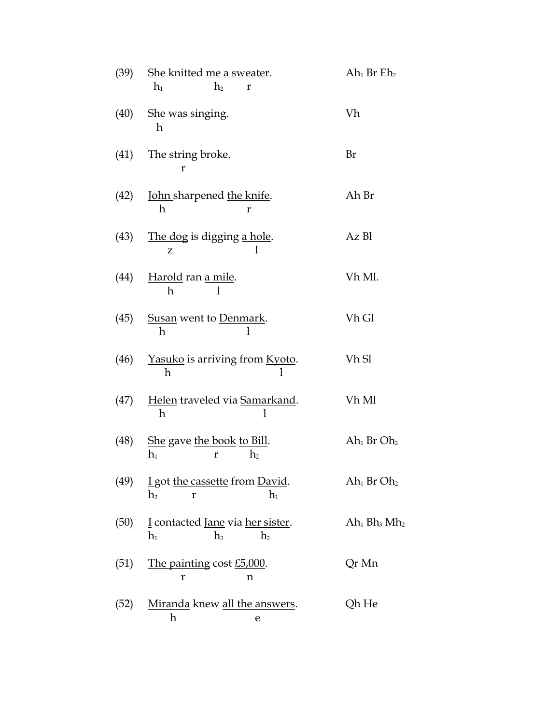| (39) | She knitted me a sweater.<br>$h_1$<br>h <sub>2</sub><br>r                  | Ah <sub>1</sub> Br Eh <sub>2</sub> |
|------|----------------------------------------------------------------------------|------------------------------------|
| (40) | She was singing.<br>h                                                      | Vh                                 |
| (41) | <u>The string</u> broke.<br>r                                              | Br                                 |
| (42) | John sharpened the knife.<br>h<br>r                                        | Ah Br                              |
| (43) | The dog is digging a hole.<br>z                                            | Az Bl                              |
| (44) | Harold ran a mile.<br>h                                                    | Vh Ml.                             |
| (45) | <b>Susan went to Denmark.</b><br>h<br>1                                    | Vh Gl                              |
| (46) | Yasuko is arriving from Kyoto.<br>h                                        | Vh Sl                              |
| (47) | Helen traveled via Samarkand.<br>h<br>1                                    | Vh Ml                              |
| (48) | She gave the book to Bill.<br>$h_1$<br>h <sub>2</sub><br>r                 | Ah <sub>1</sub> Br Oh <sub>2</sub> |
| (49) | <b>I</b> got the cassette from David.<br>$h_1$<br>h <sub>2</sub><br>r      | Ah <sub>1</sub> Br Oh <sub>2</sub> |
| (50) | I contacted Jane via her sister.<br>$h_{3}$<br>h <sub>2</sub><br>$\rm h_1$ | $Ah1 Bh3 Mh2$                      |
| (51) | The painting cost £5,000.<br>n<br>r                                        | Qr Mn                              |
| (52) | Miranda knew all the answers.<br>h<br>e                                    | Qh He                              |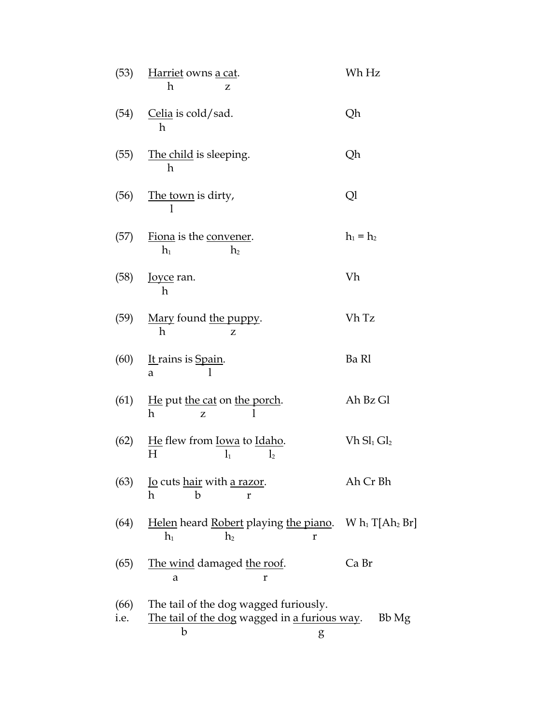| (53)         | Harriet owns a cat.<br>h<br>z                                                                                     | Wh Hz          |
|--------------|-------------------------------------------------------------------------------------------------------------------|----------------|
| (54)         | Celia is cold/sad.<br>h                                                                                           | Qh             |
| (55)         | The child is sleeping.<br>h                                                                                       | Qh             |
| (56)         | <u>The town</u> is dirty,<br>$\mathbf{1}$                                                                         | Ql             |
| (57)         | Fiona is the convener.<br>$h_{1}$<br>h <sub>2</sub>                                                               | $h_1 = h_2$    |
| (58)         | <u>Joyce</u> ran.<br>h                                                                                            | Vh             |
| (59)         | Mary found the puppy.<br>h<br>z                                                                                   | Vh Tz          |
| (60)         | It rains is Spain.<br>a                                                                                           | Ba Rl          |
| (61)         | He put the cat on the porch.<br>h<br>Z                                                                            | Ah Bz Gl       |
| (62)         | He flew from <u>Iowa</u> to Idaho.<br>Η<br>$l_1$<br>l <sub>2</sub>                                                | $Vh Sl_1 Gl_2$ |
| (63)         | <u>Jo</u> cuts hair with a razor.<br>h<br>b<br>r                                                                  | Ah Cr Bh       |
| (64)         | <u>Helen</u> heard <u>Robert</u> playing <u>the piano</u> . W $h_1$ T[A $h_2$ Br]<br>$h_1$<br>h <sub>2</sub><br>r |                |
| (65)         | The wind damaged the roof.<br>a<br>r                                                                              | Ca Br          |
| (66)<br>i.e. | The tail of the dog wagged furiously.<br>The tail of the dog wagged in a furious way.<br>b<br>g                   | Bb Mg          |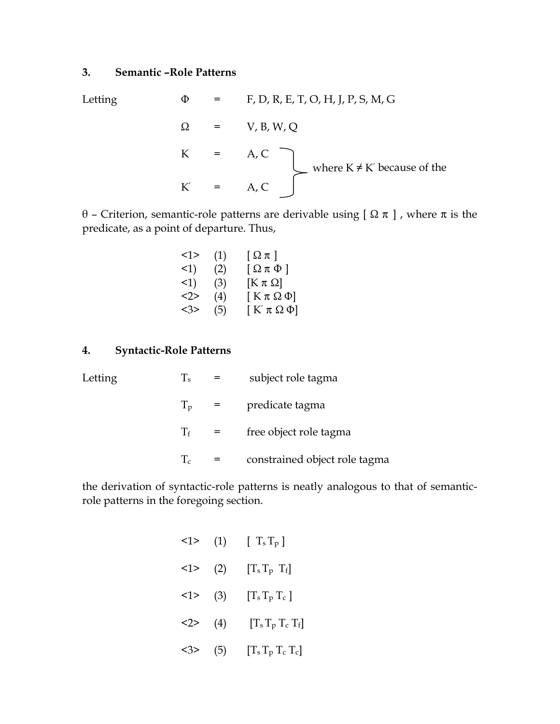#### **3. Semantic –Role Patterns**

Letting  $\Phi = F$ , D, R, E, T, O, H, J, P, S, M, G  $\Omega$  = V, B, W, Q  $K = A, C$  $\downarrow$  where K ≠ K' because of the  $K' = A, C$ 

θ – Criterion, semantic-role patterns are derivable using [ Ω π ] , where π is the predicate, as a point of departure. Thus,

| <1>    | (1) | $\left[\Omega \pi\right]$      |
|--------|-----|--------------------------------|
| $<$ 1) | (2) | $\left[\Omega \pi \Phi\right]$ |
| $<$ 1) | (3) | $[K \pi \Omega]$               |
| $2$    | (4) | $K \pi \Omega \Phi$            |
| <3>    | (5) | $[K \pi \Omega \Phi]$          |

#### **4. Syntactic-Role Patterns**

| Letting | $\rm T_s$ | $=$ | subject role tagma            |
|---------|-----------|-----|-------------------------------|
|         | $T_{p}$   |     | predicate tagma               |
|         | $T_f$     |     | free object role tagma        |
|         | $T_c$     |     | constrained object role tagma |

the derivation of syntactic-role patterns is neatly analogous to that of semanticrole patterns in the foregoing section.

|     | $\langle 1 \rangle$ $[ T_s T_p ]$           |
|-----|---------------------------------------------|
|     | $\langle 1 \rangle$ (2) $[T_s T_p T_f]$     |
|     | $\langle 1 \rangle$ (3) $[T_s T_p T_c]$     |
|     | $\langle 2 \rangle$ (4) $[T_s T_p T_c T_f]$ |
| <3> | (5) $[T_s T_p T_c T_c]$                     |